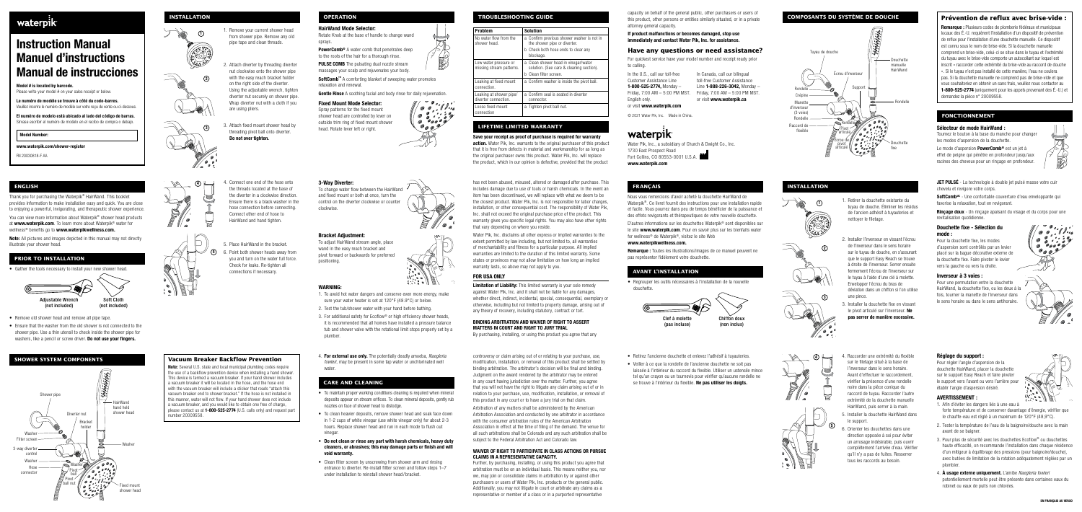# waterpik<sup>.</sup>

# Instruction Manual Manuel d'instructions Manual de instrucciones

Model # is located by barcode

Please write your model # on your sales receipt or below.

Le numéro de modèle se trouve à côté du code-barres. Veuillez inscrire le numéro de modèle sur votre reçu de vente ou ci-dessous.

El numéro de modelo está ubicado al lado del código de barras. Sirvase escribir el numéro de modelo en el recibo de compra o debajo.

Model Number:

www.waterpik.com/shower-register

FN 20030818-F AA

#### Réglage du support :

Pour régler l'angle d'aspersion de la douchette HairWand, placer la douchette sur le support Easy Reach et faire pivoter le support vers l'avant ou vers l'arrière pour établir l'angle d'aspersion désiré.



JET PULSÉ - La technologie à double jet pulsé masse votre cuir chevelu et revigore votre corps.

SoftComb<sup>Mc</sup> - Une confortable couverture d'eau enveloppante qui favorise la relaxation, tout en revigorant.

Rincage doux - Un rincage apaisant du visage et du corps pour une revitalisation quotidienne.

- 1. Afin d'éviter les dangers liés à une eau à forte température et de conserver davantage d'énergie, vérifier que le chauffe-eau est réglé à un maximum de 120°F (48,9°C).
- 2. Tester la température de l'eau de la baignoire/douche avec la main avant de se baigner.
- 3. Pour plus de sécurité avec les douchettes Ecoflow® ou douchettes haute efficacité, on recommande l'installation dans chaque résidence d'un mitigeur à équilibrage des pressions (pour baignoire/douche), avec butées de limitation de la rotation adéquatement réglées par un plombier.
- 4. À usage externe uniquement. L'amibe Naegleria fowleri potentiellement mortelle peut être présente dans certaines eaux du robinet ou eaux de puits non chlorées.

Thank you for purchasing the Waterpik® HairWand. This booklet provides information to make installation easy and quick. You are close to enjoying a powerful, invigorating, and therapeutic shower experience. You can view more information about Waterpik® shower head products at www.waterpik.com. To learn more about Waterpik® water for

wellness<sup>®</sup> benefits go to www.waterpikwellness.com.

Note: All pictures and images depicted in this manual may not directly illustrate your shower head.

#### Douchette fixe - Sélection du mode :

• Ensure that the washer from the old shower is not connected to the shower pipe. Use a thin utensil to check inside the shower pipe for washers, like a pencil or screw driver. Do not use your fingers.

Pour la douchette fixe, les modes d'aspersion sont contrôlés par un levier placé sur la bague décorative externe de la douchette fixe. Faire pivoter le levier vers la gauche ou vers la droite.

#### Inverseur à 3 voies :

Pour une permutation entre la douchette HairWand, la douchette fixe, ou les deux à la fois, tourner la manette de l'inverseur dans le sens horaire ou dans le sens antihoraire.



#### 3-Way Diverter:

To change water flow between the HairWand and fixed mount or both at once, turn the control on the diverter clockwise or counter clockwise.

#### Bracket Adjustment:

To adjust HairWand stream angle, place wand in the easy reach bracket and pivot forward or backwards for preferred positioning.

#### WARNING:

**Vacuum Breaker Backflow Prevention**  Note: Several U.S. state and local municipal plumbing codes require the use of a backflow prevention device when installing a hand shower. This device is termed a vacuum breaker. If your hand shower includes a vacuum breaker it will be located in the hose, and the hose end with the vacuum breaker will include a sticker that reads "attach this vacuum breaker end to shower bracket." If the hose is not installed in this manner, water will not flow. If your hand shower does not include a vacuum breaker, and you would like to obtain one free of charge, please contact us at 1-800-525-2774 (U.S. calls only) and request part



 $\Omega$ 

#### **ENGLISH**

**PowerComb®** A water comb that penetrates deep to the roots of the hair for a thorough rinse.

PULSE COMB The pulsating dual nozzle stream massages your scalp and rejuvenates your body.

SoftComb™ A comforting blanket of sweeping water promotes relaxation and renewal.

**Gentle Rinse** A soothing facial and body rinse for daily rejuvenation.

 $\circ$ 

#### **PRIOR TO INSTALLATION**

• Gather the tools necessary to install your new shower head.



• Remove old shower head and remove all pipe tape.

## **SHOWER SYSTEM COMPONENTS**

1. Remove your current shower head from shower pipe. Remove any old pipe tape and clean threads.

- 2. Attach diverter by threading diverter nut clockwise onto the shower pipe with the easy reach bracket holder on the right side of the diverter. Using the adjustable wrench, tighten diverter nut securely on shower pipe. Wrap diverter nut with a cloth if you are using pliers.
- 3. Attach fixed mount shower head by threading pivot ball onto diverter. Do not over tighten.



- 2. Installer l'inverseur en vissant l'écrou de l'inverseur dans le sens horaire sur le tuyau de douche, en s'assurant que le support Easy Reach se trouve à droite de l'inverseur. Serrer ensuite fermement l'écrou de l'inverseur sur le tuyau à l'aide d'une clé à molette. Envelopper l'écrou du bras de déviation dans un chiffon si l'on utilise une pince.
- 3. Installer la douchette fixe en vissant le pivot articulé sur l'inverseur. Ne pas serrer de manière excessive.
- 1. To avoid hot water dangers and conserve even more energy, make sure your water heater is set at 120°F (48.9°C) or below.
- 2. Test the tub/shower water with your hand before bathing.
- 3. For additional safety for Ecoflow® or high efficiency shower heads, it is recommended that all homes have installed a pressure balance tub and shower valve with the rotational limit stops properly set by a plumber
- 4. For external use only. The potentially deadly amoeba, Naegleria fowleri, may be present in some tap water or unchlorinated well water.

### **INSTALLATION**

1



 $\Omega$ 

2





3

3

number 20009558.

# ver washer is not in erter. b to clear any vinegar/water

leaning section). ide the pivot ball.

I in diverter

#### **OPERATION**

HairWand Mode Selector:

Rotate Knob at the base of handle to change wand sprays.

> Limitation of Liability: This limited warranty is your sole remedy against Water Pik, Inc. and it shall not be liable for any damages, whether direct, indirect, incidental, special, consequential, exemplary or otherwise, including but not limited to property damage, arising out of any theory of recovery, including statutory, contract or tort.

#### Fixed Mount Mode Selector:

In the U.S., call our toll-free Customer Assistance Line 1-800-525-2774, Monday – English only. or visit www.waterpik.com

Friday, 7:00 AM – 5:00 PM MST. Friday, 7:00 AM – 5:00 PM MST. In Canada, call our bilingual toll-free Customer Assistance Line 1-888-226-3042, Monday – or visit www.waterpik.ca

Spray patterns for the fixed mount shower head are controlled by lever on outside trim ring of fixed mount shower head. Rotate lever left or right.

4. Connect one end of the hose onto the threads located at the base of the diverter in a clockwise direction. Ensure there is a black washer in the hose connection before connecting. Connect other end of hose to HairWand and hand tighten.

5. Place HairWand in the bracket.

6. Point both shower heads away from you and turn on the water full force. Check for leaks. Re-tighten all connections if necessary.

- Retirez l'ancienne douchette et enlevez l'adhésif à tuyauteries.
- Veiller à ce que la rondelle de l'ancienne douchette ne soit pas laissée à l'intérieur du raccord du flexible. Utiliser un ustensile mince tel qu'un crayon ou un tournevis pour vérifier qu'aucune rondelle ne se trouve à l'intérieur du flexible. Ne pas utiliser les doigts.
- 4. Raccorder une extrémité du flexible sur le filetage situé à la base de l'inverseur dans le sens horaire. Avant d'effectuer le raccordement, vérifier la présence d'une rondelle noire dans la pièce conique du raccord de tuyau. Raccorder l'autre extrémité de la douchette manuelle HairWand, puis serrer à la main.
	- 5. Installer la douchette HairWand dans le support.
	- 6. Orienter les douchettes dans une direction opposée à soi pour éviter un arrosage indésirable, puis ouvrir complètement l'arrivée d'eau. Vérifier qu'il n'y a pas de fuites. Resserrer tous les raccords au besoin.

#### **CARE AND CLEANING**

Le mode d'aspersion **PowerComb<sup>®</sup>** est un jet à effet de peigne qui pénètre en profondeur jusqu'aux racines des cheveux pour un rinçage en profondeur.



- To maintain proper working conditions cleaning is required when mineral deposits appear on stream orifices. To clean mineral deposits, gently rub nozzles on face of shower head to dislodge.
- To clean heavier deposits, remove shower head and soak face down in 1-2 cups of white vinegar (use white vinegar only) for about 2-3 hours. Replace shower head and run in each mode to flush out vinegar.
- Do not clean or rinse any part with harsh chemicals, heavy duty cleaners, or abrasives; this may damage parts or finish and will void warranty.
- Clean filter screen by unscrewing from shower arm and rinsing entrance to diverter. Re-install fillter screen and follow steps 1–7 under installation to reinstall shower head / bracket.

#### **TROUBLESHOOTING GUIDE**

| <b>Problem</b>                                    | <b>Solution</b>                                   |
|---------------------------------------------------|---------------------------------------------------|
| No water flow from the<br>shower head.            | a Confirm previous show<br>the shower pipe or div |
|                                                   | b Check both hose ends<br>blockage.               |
| Low water pressure or<br>missing stream patterns. | a Clean shower head in<br>solution. (See care & c |
|                                                   | Clean filter screen.<br>h.                        |
| Leaking at fixed mount<br>connection.             | a Confirm washer is insig                         |
| Leaking at shower pipe/<br>diverter connection.   | a Confirm seal is seated<br>connector.            |
| Loose fixed mount<br>connection                   | a Tighten pivot ball nut.                         |

### **LIFETIME LIMITED WARRANTY**

Save your receipt as proof of purchase is required for warranty action. Water Pik, Inc. warrants to the original purchaser of this product that it is free from defects in material and workmanship for as long as the original purchaser owns this product. Water Pik, Inc. will replace the product, which in our opinion is defective, provided that the product

controversy or claim arising out of or relating to your purchase, use, modification, installation, or removal of this product shall be settled by binding arbitration. The arbitrator's decision will be final and binding. Judgment on the award rendered by the arbitrator may be entered in any court having jurisdiction over the matter. Further, you agree that you will not have the right to litigate any claim arising out of or in relation to your purchase, use, modification, installation, or removal of this product in any court or to have a jury trial on that claim.





Arbitration of any matters shall be administered by the American Arbitration Association and conducted by one arbitrator in accordance with the consumer arbitration rules of the American Arbitration Association in effect at the time of filing of the demand. The venue for all such arbitrations shall be Colorado and any such arbitration shall be subject to the Federal Arbitration Act and Colorado law.

#### WAIVER OF RIGHT TO PARTICIPATE IN CLASS ACTIONS OR PURSUE CLAIMS IN A REPRESENTATIVE CAPACITY.

Further, by purchasing, installing, or using this product you agree that arbitration must be on an individual basis. This means neither you, nor we, may join or consolidate claims in arbitration by or against other purchasers or users of Water Pik, Inc. products or the general public. Additionally, you may not litigate in court or arbitrate any claims as a representative or member of a class or in a purported representative



has not been abused, misused, altered or damaged after purchase. This includes damage due to use of tools or harsh chemicals. In the event an item has been discontinued, we will replace with what we deem to be the closest product. Water Pik, Inc. is not responsible for labor charges, installation, or other consequential cost. The responsibility of Water Pik, Inc. shall not exceed the original purchase price of the product. This warranty gives you specific legal rights. You may also have other rights that vary depending on where you reside.

Water Pik, Inc. disclaims all other express or implied warranties to the extent permitted by law including, but not limited to, all warranties of merchantability and fitness for a particular purpose. All implied warranties are limited to the duration of this limited warranty. Some states or provinces may not allow limitation on how long an implied warranty lasts, so above may not apply to you.

#### FOR USA ONLY

#### BINDING ARBITRATION AND WAIVER OF RIGHT TO ASSERT MATTERS IN COURT AND RIGHT TO JURY TRIAL

By purchasing, installing, or using this product you agree that any

capacity on behalf of the general public, other purchasers or users of this product, other persons or entities similarly situated, or in a private attorney general capacity.

If product malfunctions or becomes damaged, stop use immediately and contact Water Pik, Inc. for assistance.

# **Have any questions or need assistance?**

For quickest service have your model number and receipt ready prior to calling.

© 2021 Water Pik, Inc. Made in China.

# waterpik

Water Pik, Inc., a subsidiary of Church & Dwight Co., Inc. 1730 East Prospect Road Fort Collins, CO 80553-0001 U.S.A. www.waterpik.com

## **FRANÇAIS**

Nous vous remercions d'avoir acheté la douchette HairWand de Waterpik®. Ce livret fournit des instructions pour une installation rapide et facile. Vous pourrez dans peu de temps bénéficier de la puissance et des effets revigorants et thérapeutiques de votre nouvelle douchette.

D'autres informations sur les douchettes Waterpik® sont disponibles sur le site www.waterpik.com. Pour en savoir plus sur les bienfaits water for wellness® de Waterpik®, visitez le site Web

#### www.waterpikwellness.com.

Remarque : Toutes les illustrations/images de ce manuel peuvent ne pas représenter fidèlement votre douchette.

### **AVANT L'INSTALLATION**

• Regrouper les outils nécessaires à l'installation de la nouvelle douchette.



### **COMPOSANTS DU SYSTÈME DE DOUCHE**

## **INSTALLATION**

#### **Prévention de reflux avec brise-vide :**

Remarque : Plusieurs codes de plomberie fédéraux et municipaux locaux des É.-U. requièrent l'installation d'un dispositif de prévention de reflux pour l'installation d'une douchette manuelle. Ce dispositif est connu sous le nom de brise-vide. Si la douchette manuelle comprend un brise-vide, celui-ci se situe dans le tuyau et l'extrémité du tuyau avec le brise-vide comporte un autocollant sur lequel est inscrit « raccorder cette extrémité du brise-vide au raccord de douche ». Si le tuyau n'est pas installé de cette manière, l'eau ne coulera pas. Si la douchette manuelle ne comprend pas de brise-vide et que vous souhaiteriez en obtenir un sans frais, veuillez nous contacter au 1-800-525-2774 (uniquement pour les appels provenant des É.-U.) et demandez la pièce n° 20009558.

### **FONCTIONNEMENT**

#### Sélecteur de mode HairWand :

Tournez le bouton à la base du manche pour changer les modes d'aspersion de la douchette.